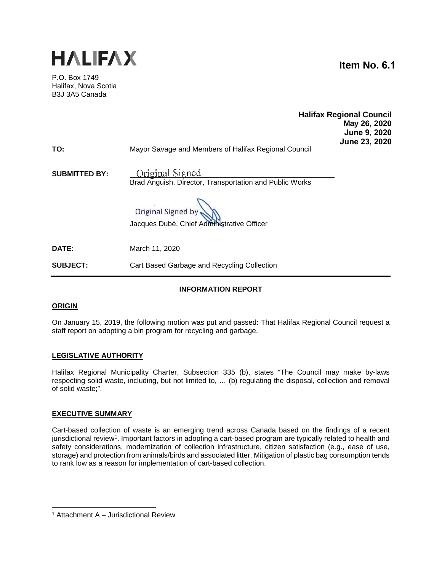

P.O. Box 1749 Halifax, Nova Scotia B3J 3A5 Canada

**Item No. 6.1**

| TO:                  | Mayor Savage and Members of Halifax Regional Council                       | <b>Halifax Regional Council</b><br>May 26, 2020<br>June 9, 2020<br>June 23, 2020 |
|----------------------|----------------------------------------------------------------------------|----------------------------------------------------------------------------------|
| <b>SUBMITTED BY:</b> | Original Signed<br>Brad Anguish, Director, Transportation and Public Works |                                                                                  |
|                      | Original Signed by<br>Jacques Dubé, Chief Administrative Officer           |                                                                                  |
| <b>DATE:</b>         | March 11, 2020                                                             |                                                                                  |

**INFORMATION REPORT**

**SUBJECT:** Cart Based Garbage and Recycling Collection

## **ORIGIN**

On January 15, 2019, the following motion was put and passed: That Halifax Regional Council request a staff report on adopting a bin program for recycling and garbage.

## **LEGISLATIVE AUTHORITY**

Halifax Regional Municipality Charter, Subsection 335 (b), states "The Council may make by-laws respecting solid waste, including, but not limited to, … (b) regulating the disposal, collection and removal of solid waste;".

#### **EXECUTIVE SUMMARY**

Cart-based collection of waste is an emerging trend across Canada based on the findings of a recent jurisdictional review<sup>1</sup>. Important factors in adopting a cart-based program are typically related to health and safety considerations, modernization of collection infrastructure, citizen satisfaction (e.g., ease of use, storage) and protection from animals/birds and associated litter. Mitigation of plastic bag consumption tends to rank low as a reason for implementation of cart-based collection.

<span id="page-0-0"></span><sup>1</sup> Attachment A – Jurisdictional Review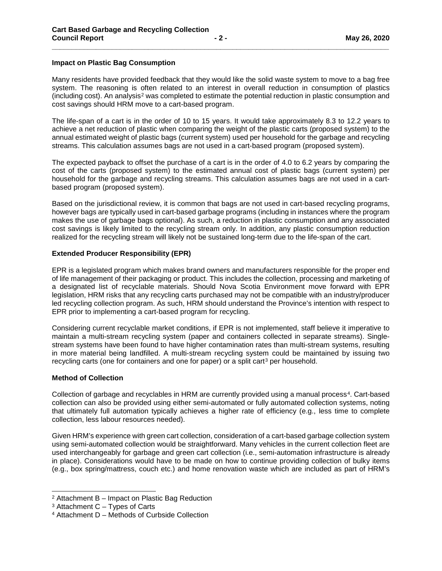#### **Impact on Plastic Bag Consumption**

Many residents have provided feedback that they would like the solid waste system to move to a bag free system. The reasoning is often related to an interest in overall reduction in consumption of plastics (including cost). An analysis<sup>[2](#page-1-0)</sup> was completed to estimate the potential reduction in plastic consumption and cost savings should HRM move to a cart-based program.

**\_\_\_\_\_\_\_\_\_\_\_\_\_\_\_\_\_\_\_\_\_\_\_\_\_\_\_\_\_\_\_\_\_\_\_\_\_\_\_\_\_\_\_\_\_\_\_\_\_\_\_\_\_\_\_\_\_\_\_\_\_\_\_\_\_\_\_\_\_\_\_\_\_\_\_\_\_\_\_\_\_\_\_\_**

The life-span of a cart is in the order of 10 to 15 years. It would take approximately 8.3 to 12.2 years to achieve a net reduction of plastic when comparing the weight of the plastic carts (proposed system) to the annual estimated weight of plastic bags (current system) used per household for the garbage and recycling streams. This calculation assumes bags are not used in a cart-based program (proposed system).

The expected payback to offset the purchase of a cart is in the order of 4.0 to 6.2 years by comparing the cost of the carts (proposed system) to the estimated annual cost of plastic bags (current system) per household for the garbage and recycling streams. This calculation assumes bags are not used in a cartbased program (proposed system).

Based on the jurisdictional review, it is common that bags are not used in cart-based recycling programs, however bags are typically used in cart-based garbage programs (including in instances where the program makes the use of garbage bags optional). As such, a reduction in plastic consumption and any associated cost savings is likely limited to the recycling stream only. In addition, any plastic consumption reduction realized for the recycling stream will likely not be sustained long-term due to the life-span of the cart.

## **Extended Producer Responsibility (EPR)**

EPR is a legislated program which makes brand owners and manufacturers responsible for the proper end of life management of their packaging or product. This includes the collection, processing and marketing of a designated list of recyclable materials. Should Nova Scotia Environment move forward with EPR legislation, HRM risks that any recycling carts purchased may not be compatible with an industry/producer led recycling collection program. As such, HRM should understand the Province's intention with respect to EPR prior to implementing a cart-based program for recycling.

Considering current recyclable market conditions, if EPR is not implemented, staff believe it imperative to maintain a multi-stream recycling system (paper and containers collected in separate streams). Singlestream systems have been found to have higher contamination rates than multi-stream systems, resulting in more material being landfilled. A multi-stream recycling system could be maintained by issuing two recycling carts (one for containers and one for paper) or a split cart<sup>[3](#page-1-1)</sup> per household.

#### **Method of Collection**

Collection of garbage and recyclables in HRM are currently provided using a manual process<sup>[4](#page-1-2)</sup>. Cart-based collection can also be provided using either semi-automated or fully automated collection systems, noting that ultimately full automation typically achieves a higher rate of efficiency (e.g., less time to complete collection, less labour resources needed).

Given HRM's experience with green cart collection, consideration of a cart-based garbage collection system using semi-automated collection would be straightforward. Many vehicles in the current collection fleet are used interchangeably for garbage and green cart collection (i.e., semi-automation infrastructure is already in place). Considerations would have to be made on how to continue providing collection of bulky items (e.g., box spring/mattress, couch etc.) and home renovation waste which are included as part of HRM's

<span id="page-1-0"></span> <sup>2</sup> Attachment B – Impact on Plastic Bag Reduction

<span id="page-1-1"></span> $3$  Attachment C – Types of Carts

<span id="page-1-2"></span><sup>4</sup> Attachment D – Methods of Curbside Collection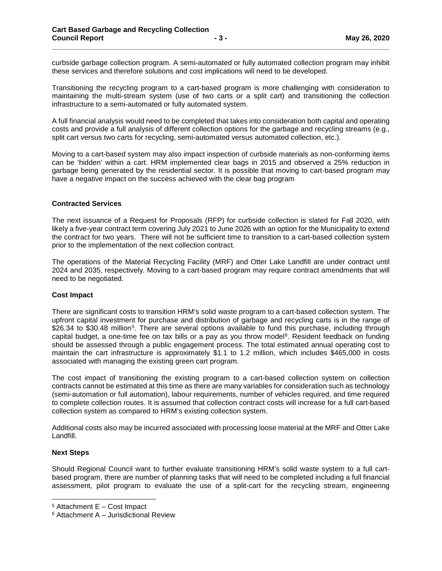curbside garbage collection program. A semi-automated or fully automated collection program may inhibit these services and therefore solutions and cost implications will need to be developed.

**\_\_\_\_\_\_\_\_\_\_\_\_\_\_\_\_\_\_\_\_\_\_\_\_\_\_\_\_\_\_\_\_\_\_\_\_\_\_\_\_\_\_\_\_\_\_\_\_\_\_\_\_\_\_\_\_\_\_\_\_\_\_\_\_\_\_\_\_\_\_\_\_\_\_\_\_\_\_\_\_\_\_\_\_**

Transitioning the recycling program to a cart-based program is more challenging with consideration to maintaining the multi-stream system (use of two carts or a split cart) and transitioning the collection infrastructure to a semi-automated or fully automated system.

A full financial analysis would need to be completed that takes into consideration both capital and operating costs and provide a full analysis of different collection options for the garbage and recycling streams (e.g., split cart versus two carts for recycling, semi-automated versus automated collection, etc.).

Moving to a cart-based system may also impact inspection of curbside materials as non-conforming items can be 'hidden' within a cart. HRM implemented clear bags in 2015 and observed a 25% reduction in garbage being generated by the residential sector. It is possible that moving to cart-based program may have a negative impact on the success achieved with the clear bag program

#### **Contracted Services**

The next issuance of a Request for Proposals (RFP) for curbside collection is slated for Fall 2020, with likely a five-year contract term covering July 2021 to June 2026 with an option for the Municipality to extend the contract for two years. There will not be sufficient time to transition to a cart-based collection system prior to the implementation of the next collection contract.

The operations of the Material Recycling Facility (MRF) and Otter Lake Landfill are under contract until 2024 and 2035, respectively. Moving to a cart-based program may require contract amendments that will need to be negotiated.

#### **Cost Impact**

There are significant costs to transition HRM's solid waste program to a cart-based collection system. The upfront capital investment for purchase and distribution of garbage and recycling carts is in the range of \$26.34 to \$30.48 million<sup>[5](#page-2-0)</sup>. There are several options available to fund this purchase, including through capital budget, a one-time fee on tax bills or a pay as you throw model<sup>6</sup>. Resident feedback on funding should be assessed through a public engagement process. The total estimated annual operating cost to maintain the cart infrastructure is approximately \$1.1 to 1.2 million, which includes \$465,000 in costs associated with managing the existing green cart program.

The cost impact of transitioning the existing program to a cart-based collection system on collection contracts cannot be estimated at this time as there are many variables for consideration such as technology (semi-automation or full automation), labour requirements, number of vehicles required, and time required to complete collection routes. It is assumed that collection contract costs will increase for a full cart-based collection system as compared to HRM's existing collection system.

Additional costs also may be incurred associated with processing loose material at the MRF and Otter Lake Landfill.

#### **Next Steps**

Should Regional Council want to further evaluate transitioning HRM's solid waste system to a full cartbased program, there are number of planning tasks that will need to be completed including a full financial assessment, pilot program to evaluate the use of a split-cart for the recycling stream, engineering

<span id="page-2-0"></span><sup>5</sup> Attachment E – Cost Impact

<span id="page-2-1"></span><sup>6</sup> Attachment A – Jurisdictional Review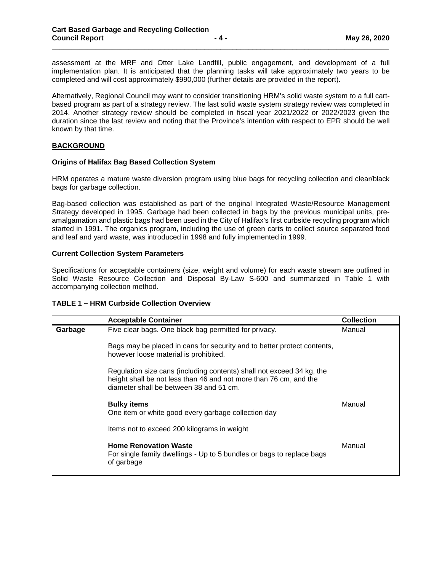assessment at the MRF and Otter Lake Landfill, public engagement, and development of a full implementation plan. It is anticipated that the planning tasks will take approximately two years to be completed and will cost approximately \$990,000 (further details are provided in the report).

**\_\_\_\_\_\_\_\_\_\_\_\_\_\_\_\_\_\_\_\_\_\_\_\_\_\_\_\_\_\_\_\_\_\_\_\_\_\_\_\_\_\_\_\_\_\_\_\_\_\_\_\_\_\_\_\_\_\_\_\_\_\_\_\_\_\_\_\_\_\_\_\_\_\_\_\_\_\_\_\_\_\_\_\_**

Alternatively, Regional Council may want to consider transitioning HRM's solid waste system to a full cartbased program as part of a strategy review. The last solid waste system strategy review was completed in 2014. Another strategy review should be completed in fiscal year 2021/2022 or 2022/2023 given the duration since the last review and noting that the Province's intention with respect to EPR should be well known by that time.

## **BACKGROUND**

## **Origins of Halifax Bag Based Collection System**

HRM operates a mature waste diversion program using blue bags for recycling collection and clear/black bags for garbage collection.

Bag-based collection was established as part of the original Integrated Waste/Resource Management Strategy developed in 1995. Garbage had been collected in bags by the previous municipal units, preamalgamation and plastic bags had been used in the City of Halifax's first curbside recycling program which started in 1991. The organics program, including the use of green carts to collect source separated food and leaf and yard waste, was introduced in 1998 and fully implemented in 1999.

## **Current Collection System Parameters**

Specifications for acceptable containers (size, weight and volume) for each waste stream are outlined in Solid Waste Resource Collection and Disposal By-Law S-600 and summarized in Table 1 with accompanying collection method.

#### **TABLE 1 – HRM Curbside Collection Overview**

|         | <b>Acceptable Container</b>                                                                                                                                                           | <b>Collection</b> |
|---------|---------------------------------------------------------------------------------------------------------------------------------------------------------------------------------------|-------------------|
| Garbage | Five clear bags. One black bag permitted for privacy.                                                                                                                                 | Manual            |
|         | Bags may be placed in cans for security and to better protect contents,<br>however loose material is prohibited.                                                                      |                   |
|         | Regulation size cans (including contents) shall not exceed 34 kg, the<br>height shall be not less than 46 and not more than 76 cm, and the<br>diameter shall be between 38 and 51 cm. |                   |
|         | <b>Bulky items</b><br>One item or white good every garbage collection day                                                                                                             | Manual            |
|         | Items not to exceed 200 kilograms in weight                                                                                                                                           |                   |
|         | <b>Home Renovation Waste</b><br>For single family dwellings - Up to 5 bundles or bags to replace bags<br>of garbage                                                                   | Manual            |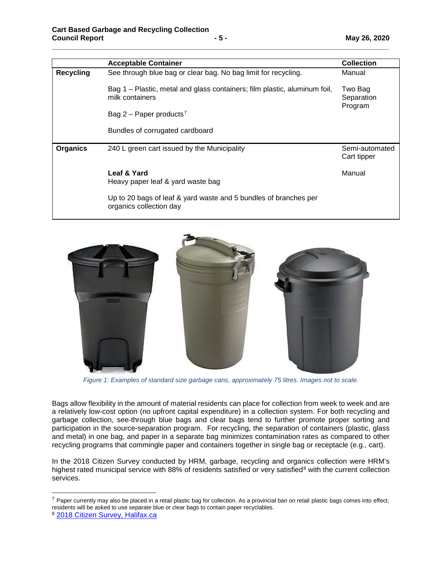|                  | <b>Acceptable Container</b>                                                                  | <b>Collection</b>                |
|------------------|----------------------------------------------------------------------------------------------|----------------------------------|
| <b>Recycling</b> | See through blue bag or clear bag. No bag limit for recycling.                               | Manual                           |
|                  | Bag 1 – Plastic, metal and glass containers; film plastic, aluminum foil,<br>milk containers | Two Bag<br>Separation<br>Program |
|                  | Bag 2 – Paper products <sup>7</sup>                                                          |                                  |
|                  | Bundles of corrugated cardboard                                                              |                                  |
| <b>Organics</b>  | 240 L green cart issued by the Municipality                                                  | Semi-automated<br>Cart tipper    |
|                  | Leaf & Yard<br>Heavy paper leaf & yard waste bag                                             | Manual                           |
|                  | Up to 20 bags of leaf & yard waste and 5 bundles of branches per<br>organics collection day  |                                  |

**\_\_\_\_\_\_\_\_\_\_\_\_\_\_\_\_\_\_\_\_\_\_\_\_\_\_\_\_\_\_\_\_\_\_\_\_\_\_\_\_\_\_\_\_\_\_\_\_\_\_\_\_\_\_\_\_\_\_\_\_\_\_\_\_\_\_\_\_\_\_\_\_\_\_\_\_\_\_\_\_\_\_\_\_**



*Figure 1: Examples of standard size garbage cans, approximately 75 litres. Images not to scale.*

Bags allow flexibility in the amount of material residents can place for collection from week to week and are a relatively low-cost option (no upfront capital expenditure) in a collection system. For both recycling and garbage collection, see-through blue bags and clear bags tend to further promote proper sorting and participation in the source-separation program. For recycling, the separation of containers (plastic, glass and metal) in one bag, and paper in a separate bag minimizes contamination rates as compared to other recycling programs that commingle paper and containers together in single bag or receptacle (e.g., cart).

In the 2018 Citizen Survey conducted by HRM, garbage, recycling and organics collection were HRM's highest rated municipal service with [8](#page-4-1)8% of residents satisfied or very satisfied<sup>8</sup> with the current collection services.

<span id="page-4-0"></span> $7$  Paper currently may also be placed in a retail plastic bag for collection. As a provincial ban on retail plastic bags comes into effect, residents will be asked to use separate blue or clear bags to contain paper recyclables.

<span id="page-4-1"></span><sup>8</sup> [2018 Citizen Survey, Halifax.ca](https://www.halifax.ca/city-hall/accountability-transparency/citizen-survey)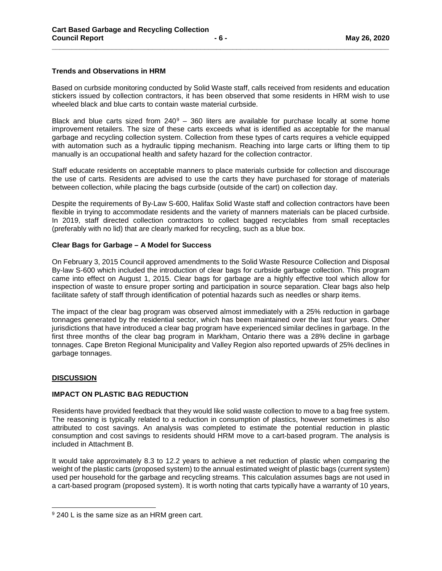## **Trends and Observations in HRM**

Based on curbside monitoring conducted by Solid Waste staff, calls received from residents and education stickers issued by collection contractors, it has been observed that some residents in HRM wish to use wheeled black and blue carts to contain waste material curbside.

**\_\_\_\_\_\_\_\_\_\_\_\_\_\_\_\_\_\_\_\_\_\_\_\_\_\_\_\_\_\_\_\_\_\_\_\_\_\_\_\_\_\_\_\_\_\_\_\_\_\_\_\_\_\_\_\_\_\_\_\_\_\_\_\_\_\_\_\_\_\_\_\_\_\_\_\_\_\_\_\_\_\_\_\_**

Black and blue carts sized from  $240^9 - 360$  $240^9 - 360$  $240^9 - 360$  liters are available for purchase locally at some home improvement retailers. The size of these carts exceeds what is identified as acceptable for the manual garbage and recycling collection system. Collection from these types of carts requires a vehicle equipped with automation such as a hydraulic tipping mechanism. Reaching into large carts or lifting them to tip manually is an occupational health and safety hazard for the collection contractor.

Staff educate residents on acceptable manners to place materials curbside for collection and discourage the use of carts. Residents are advised to use the carts they have purchased for storage of materials between collection, while placing the bags curbside (outside of the cart) on collection day.

Despite the requirements of By-Law S-600, Halifax Solid Waste staff and collection contractors have been flexible in trying to accommodate residents and the variety of manners materials can be placed curbside. In 2019, staff directed collection contractors to collect bagged recyclables from small receptacles (preferably with no lid) that are clearly marked for recycling, such as a blue box.

## **Clear Bags for Garbage – A Model for Success**

On February 3, 2015 Council approved amendments to the Solid Waste Resource Collection and Disposal By-law S-600 which included the introduction of clear bags for curbside garbage collection. This program came into effect on August 1, 2015. Clear bags for garbage are a highly effective tool which allow for inspection of waste to ensure proper sorting and participation in source separation. Clear bags also help facilitate safety of staff through identification of potential hazards such as needles or sharp items.

The impact of the clear bag program was observed almost immediately with a 25% reduction in garbage tonnages generated by the residential sector, which has been maintained over the last four years. Other jurisdictions that have introduced a clear bag program have experienced similar declines in garbage. In the first three months of the clear bag program in Markham, Ontario there was a 28% decline in garbage tonnages. Cape Breton Regional Municipality and Valley Region also reported upwards of 25% declines in garbage tonnages.

#### **DISCUSSION**

#### **IMPACT ON PLASTIC BAG REDUCTION**

Residents have provided feedback that they would like solid waste collection to move to a bag free system. The reasoning is typically related to a reduction in consumption of plastics, however sometimes is also attributed to cost savings. An analysis was completed to estimate the potential reduction in plastic consumption and cost savings to residents should HRM move to a cart-based program. The analysis is included in Attachment B.

It would take approximately 8.3 to 12.2 years to achieve a net reduction of plastic when comparing the weight of the plastic carts (proposed system) to the annual estimated weight of plastic bags (current system) used per household for the garbage and recycling streams. This calculation assumes bags are not used in a cart-based program (proposed system). It is worth noting that carts typically have a warranty of 10 years,

<span id="page-5-0"></span><sup>&</sup>lt;sup>9</sup> 240 L is the same size as an HRM green cart.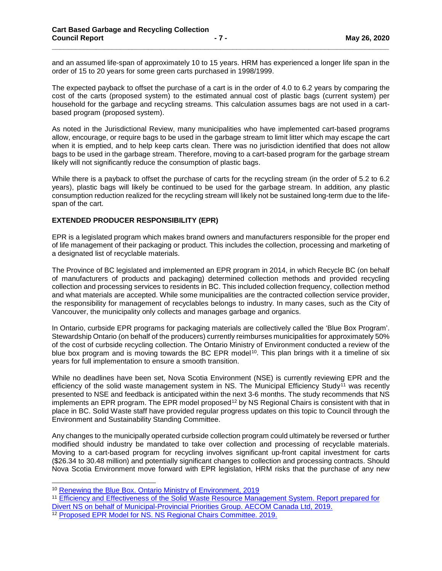and an assumed life-span of approximately 10 to 15 years. HRM has experienced a longer life span in the order of 15 to 20 years for some green carts purchased in 1998/1999.

**\_\_\_\_\_\_\_\_\_\_\_\_\_\_\_\_\_\_\_\_\_\_\_\_\_\_\_\_\_\_\_\_\_\_\_\_\_\_\_\_\_\_\_\_\_\_\_\_\_\_\_\_\_\_\_\_\_\_\_\_\_\_\_\_\_\_\_\_\_\_\_\_\_\_\_\_\_\_\_\_\_\_\_\_**

The expected payback to offset the purchase of a cart is in the order of 4.0 to 6.2 years by comparing the cost of the carts (proposed system) to the estimated annual cost of plastic bags (current system) per household for the garbage and recycling streams. This calculation assumes bags are not used in a cartbased program (proposed system).

As noted in the Jurisdictional Review, many municipalities who have implemented cart-based programs allow, encourage, or require bags to be used in the garbage stream to limit litter which may escape the cart when it is emptied, and to help keep carts clean. There was no jurisdiction identified that does not allow bags to be used in the garbage stream. Therefore, moving to a cart-based program for the garbage stream likely will not significantly reduce the consumption of plastic bags.

While there is a payback to offset the purchase of carts for the recycling stream (in the order of 5.2 to 6.2 years), plastic bags will likely be continued to be used for the garbage stream. In addition, any plastic consumption reduction realized for the recycling stream will likely not be sustained long-term due to the lifespan of the cart.

#### **EXTENDED PRODUCER RESPONSIBILITY (EPR)**

EPR is a legislated program which makes brand owners and manufacturers responsible for the proper end of life management of their packaging or product. This includes the collection, processing and marketing of a designated list of recyclable materials.

The Province of BC legislated and implemented an EPR program in 2014, in which Recycle BC (on behalf of manufacturers of products and packaging) determined collection methods and provided recycling collection and processing services to residents in BC. This included collection frequency, collection method and what materials are accepted. While some municipalities are the contracted collection service provider, the responsibility for management of recyclables belongs to industry. In many cases, such as the City of Vancouver, the municipality only collects and manages garbage and organics.

In Ontario, curbside EPR programs for packaging materials are collectively called the 'Blue Box Program'. Stewardship Ontario (on behalf of the producers) currently reimburses municipalities for approximately 50% of the cost of curbside recycling collection. The Ontario Ministry of Environment conducted a review of the blue box program and is moving towards the BC EPR model<sup>10</sup>. This plan brings with it a timeline of six years for full implementation to ensure a smooth transition.

While no deadlines have been set, Nova Scotia Environment (NSE) is currently reviewing EPR and the efficiency of the solid waste management system in NS. The Municipal Efficiency Study<sup>[11](#page-6-1)</sup> was recently presented to NSE and feedback is anticipated within the next 3-6 months. The study recommends that NS implements an EPR program. The EPR model proposed<sup>[12](#page-6-2)</sup> by NS Regional Chairs is consistent with that in place in BC. Solid Waste staff have provided regular progress updates on this topic to Council through the Environment and Sustainability Standing Committee.

Any changes to the municipally operated curbside collection program could ultimately be reversed or further modified should industry be mandated to take over collection and processing of recyclable materials. Moving to a cart-based program for recycling involves significant up-front capital investment for carts (\$26.34 to 30.48 million) and potentially significant changes to collection and processing contracts. Should Nova Scotia Environment move forward with EPR legislation, HRM risks that the purchase of any new

<span id="page-6-0"></span> <sup>10</sup> [Renewing the Blue Box. Ontario Ministry of Environment, 2019](https://www.ontario.ca/page/renewing-blue-box-final-report-blue-box-mediation-process)

<span id="page-6-1"></span><sup>11</sup> [Efficiency and Effectiveness of the Solid Waste Resource Management System. Report prepared for](https://legcat.gov.ns.ca/articles/1071669.2143/1.PDF)  [Divert NS on behalf of Municipal-Provincial Priorities Group. AECOM Canada Ltd, 2019.](https://legcat.gov.ns.ca/articles/1071669.2143/1.PDF)

<span id="page-6-2"></span><sup>12</sup> [Proposed EPR Model for NS.](https://legcat.gov.ns.ca/articles/1071668.2142/1.PDF) NS Regional Chairs Committee. 2019.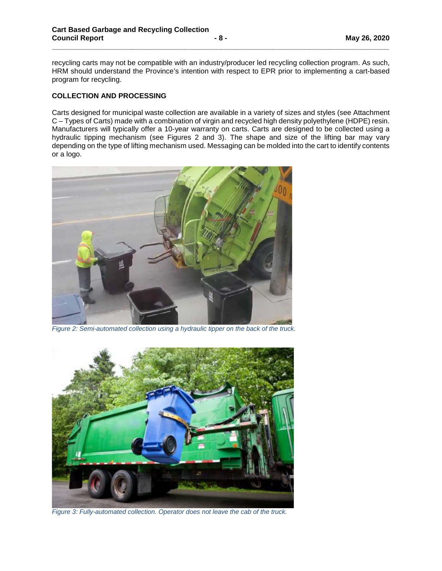recycling carts may not be compatible with an industry/producer led recycling collection program. As such, HRM should understand the Province's intention with respect to EPR prior to implementing a cart-based program for recycling.

**\_\_\_\_\_\_\_\_\_\_\_\_\_\_\_\_\_\_\_\_\_\_\_\_\_\_\_\_\_\_\_\_\_\_\_\_\_\_\_\_\_\_\_\_\_\_\_\_\_\_\_\_\_\_\_\_\_\_\_\_\_\_\_\_\_\_\_\_\_\_\_\_\_\_\_\_\_\_\_\_\_\_\_\_**

## **COLLECTION AND PROCESSING**

Carts designed for municipal waste collection are available in a variety of sizes and styles (see Attachment C – Types of Carts) made with a combination of virgin and recycled high density polyethylene (HDPE) resin. Manufacturers will typically offer a 10-year warranty on carts. Carts are designed to be collected using a hydraulic tipping mechanism (see Figures 2 and 3). The shape and size of the lifting bar may vary depending on the type of lifting mechanism used. Messaging can be molded into the cart to identify contents or a logo.



*Figure 2: Semi-automated collection using a hydraulic tipper on the back of the truck.*



*Figure 3: Fully-automated collection. Operator does not leave the cab of the truck.*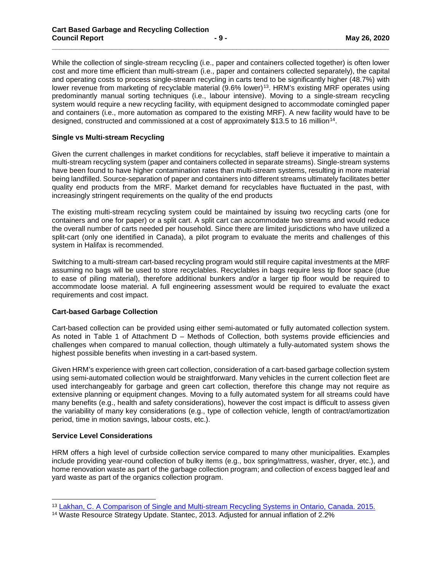While the collection of single-stream recycling (i.e., paper and containers collected together) is often lower cost and more time efficient than multi-stream (i.e., paper and containers collected separately), the capital and operating costs to process single-stream recycling in carts tend to be significantly higher (48.7%) with lower revenue from marketing of recyclable material (9.6% lower)<sup>[13](#page-8-0)</sup>. HRM's existing MRF operates using predominantly manual sorting techniques (i.e., labour intensive). Moving to a single-stream recycling system would require a new recycling facility, with equipment designed to accommodate comingled paper and containers (i.e., more automation as compared to the existing MRF). A new facility would have to be designed, constructed and commissioned at a cost of approximately \$13.5 to 16 million[14](#page-8-1).

**\_\_\_\_\_\_\_\_\_\_\_\_\_\_\_\_\_\_\_\_\_\_\_\_\_\_\_\_\_\_\_\_\_\_\_\_\_\_\_\_\_\_\_\_\_\_\_\_\_\_\_\_\_\_\_\_\_\_\_\_\_\_\_\_\_\_\_\_\_\_\_\_\_\_\_\_\_\_\_\_\_\_\_\_**

## **Single vs Multi-stream Recycling**

Given the current challenges in market conditions for recyclables, staff believe it imperative to maintain a multi-stream recycling system (paper and containers collected in separate streams). Single-stream systems have been found to have higher contamination rates than multi-stream systems, resulting in more material being landfilled. Source-separation of paper and containers into different streams ultimately facilitates better quality end products from the MRF. Market demand for recyclables have fluctuated in the past, with increasingly stringent requirements on the quality of the end products

The existing multi-stream recycling system could be maintained by issuing two recycling carts (one for containers and one for paper) or a split cart. A split cart can accommodate two streams and would reduce the overall number of carts needed per household. Since there are limited jurisdictions who have utilized a split-cart (only one identified in Canada), a pilot program to evaluate the merits and challenges of this system in Halifax is recommended.

Switching to a multi-stream cart-based recycling program would still require capital investments at the MRF assuming no bags will be used to store recyclables. Recyclables in bags require less tip floor space (due to ease of piling material), therefore additional bunkers and/or a larger tip floor would be required to accommodate loose material. A full engineering assessment would be required to evaluate the exact requirements and cost impact.

#### **Cart-based Garbage Collection**

Cart-based collection can be provided using either semi-automated or fully automated collection system. As noted in Table 1 of Attachment D – Methods of Collection, both systems provide efficiencies and challenges when compared to manual collection, though ultimately a fully-automated system shows the highest possible benefits when investing in a cart-based system.

Given HRM's experience with green cart collection, consideration of a cart-based garbage collection system using semi-automated collection would be straightforward. Many vehicles in the current collection fleet are used interchangeably for garbage and green cart collection, therefore this change may not require as extensive planning or equipment changes. Moving to a fully automated system for all streams could have many benefits (e.g., health and safety considerations), however the cost impact is difficult to assess given the variability of many key considerations (e.g., type of collection vehicle, length of contract/amortization period, time in motion savings, labour costs, etc.).

#### **Service Level Considerations**

HRM offers a high level of curbside collection service compared to many other municipalities. Examples include providing year-round collection of bulky items (e.g., box spring/mattress, washer, dryer, etc.), and home renovation waste as part of the garbage collection program; and collection of excess bagged leaf and yard waste as part of the organics collection program.

<span id="page-8-0"></span><sup>13</sup> [Lakhan, C. A Comparison of Single and Multi-stream Recycling Systems in Ontario, Canada. 2015.](https://www.mdpi.com/2079-9276/4/2/384/pdf)

<span id="page-8-1"></span><sup>14</sup> Waste Resource Strategy Update. Stantec, 2013. Adjusted for annual inflation of 2.2%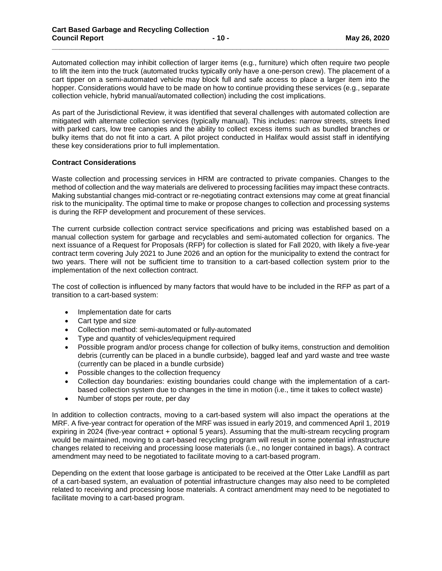Automated collection may inhibit collection of larger items (e.g., furniture) which often require two people to lift the item into the truck (automated trucks typically only have a one-person crew). The placement of a cart tipper on a semi-automated vehicle may block full and safe access to place a larger item into the hopper. Considerations would have to be made on how to continue providing these services (e.g., separate collection vehicle, hybrid manual/automated collection) including the cost implications.

**\_\_\_\_\_\_\_\_\_\_\_\_\_\_\_\_\_\_\_\_\_\_\_\_\_\_\_\_\_\_\_\_\_\_\_\_\_\_\_\_\_\_\_\_\_\_\_\_\_\_\_\_\_\_\_\_\_\_\_\_\_\_\_\_\_\_\_\_\_\_\_\_\_\_\_\_\_\_\_\_\_\_\_\_**

As part of the Jurisdictional Review, it was identified that several challenges with automated collection are mitigated with alternate collection services (typically manual). This includes: narrow streets, streets lined with parked cars, low tree canopies and the ability to collect excess items such as bundled branches or bulky items that do not fit into a cart. A pilot project conducted in Halifax would assist staff in identifying these key considerations prior to full implementation.

## **Contract Considerations**

Waste collection and processing services in HRM are contracted to private companies. Changes to the method of collection and the way materials are delivered to processing facilities may impact these contracts. Making substantial changes mid-contract or re-negotiating contract extensions may come at great financial risk to the municipality. The optimal time to make or propose changes to collection and processing systems is during the RFP development and procurement of these services.

The current curbside collection contract service specifications and pricing was established based on a manual collection system for garbage and recyclables and semi-automated collection for organics. The next issuance of a Request for Proposals (RFP) for collection is slated for Fall 2020, with likely a five-year contract term covering July 2021 to June 2026 and an option for the municipality to extend the contract for two years. There will not be sufficient time to transition to a cart-based collection system prior to the implementation of the next collection contract.

The cost of collection is influenced by many factors that would have to be included in the RFP as part of a transition to a cart-based system:

- Implementation date for carts
- Cart type and size
- Collection method: semi-automated or fully-automated
- Type and quantity of vehicles/equipment required
- Possible program and/or process change for collection of bulky items, construction and demolition debris (currently can be placed in a bundle curbside), bagged leaf and yard waste and tree waste (currently can be placed in a bundle curbside)
- Possible changes to the collection frequency
- Collection day boundaries: existing boundaries could change with the implementation of a cartbased collection system due to changes in the time in motion (i.e., time it takes to collect waste)
- Number of stops per route, per day

In addition to collection contracts, moving to a cart-based system will also impact the operations at the MRF. A five-year contract for operation of the MRF was issued in early 2019, and commenced April 1, 2019 expiring in 2024 (five-year contract + optional 5 years). Assuming that the multi-stream recycling program would be maintained, moving to a cart-based recycling program will result in some potential infrastructure changes related to receiving and processing loose materials (i.e., no longer contained in bags). A contract amendment may need to be negotiated to facilitate moving to a cart-based program.

Depending on the extent that loose garbage is anticipated to be received at the Otter Lake Landfill as part of a cart-based system, an evaluation of potential infrastructure changes may also need to be completed related to receiving and processing loose materials. A contract amendment may need to be negotiated to facilitate moving to a cart-based program.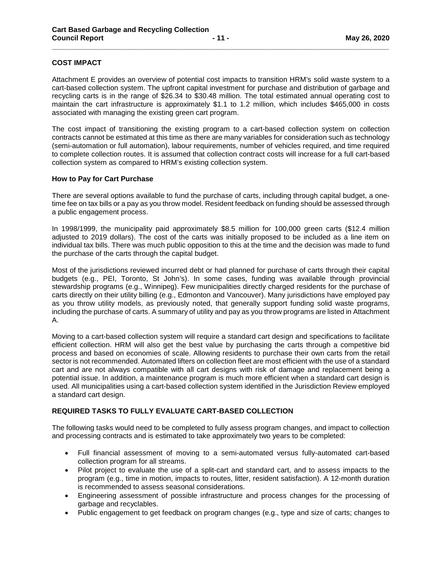## **COST IMPACT**

Attachment E provides an overview of potential cost impacts to transition HRM's solid waste system to a cart-based collection system. The upfront capital investment for purchase and distribution of garbage and recycling carts is in the range of \$26.34 to \$30.48 million. The total estimated annual operating cost to maintain the cart infrastructure is approximately \$1.1 to 1.2 million, which includes \$465,000 in costs associated with managing the existing green cart program.

**\_\_\_\_\_\_\_\_\_\_\_\_\_\_\_\_\_\_\_\_\_\_\_\_\_\_\_\_\_\_\_\_\_\_\_\_\_\_\_\_\_\_\_\_\_\_\_\_\_\_\_\_\_\_\_\_\_\_\_\_\_\_\_\_\_\_\_\_\_\_\_\_\_\_\_\_\_\_\_\_\_\_\_\_**

The cost impact of transitioning the existing program to a cart-based collection system on collection contracts cannot be estimated at this time as there are many variables for consideration such as technology (semi-automation or full automation), labour requirements, number of vehicles required, and time required to complete collection routes. It is assumed that collection contract costs will increase for a full cart-based collection system as compared to HRM's existing collection system.

#### **How to Pay for Cart Purchase**

There are several options available to fund the purchase of carts, including through capital budget, a onetime fee on tax bills or a pay as you throw model. Resident feedback on funding should be assessed through a public engagement process.

In 1998/1999, the municipality paid approximately \$8.5 million for 100,000 green carts (\$12.4 million adjusted to 2019 dollars). The cost of the carts was initially proposed to be included as a line item on individual tax bills. There was much public opposition to this at the time and the decision was made to fund the purchase of the carts through the capital budget.

Most of the jurisdictions reviewed incurred debt or had planned for purchase of carts through their capital budgets (e.g., PEI, Toronto, St John's). In some cases, funding was available through provincial stewardship programs (e.g., Winnipeg). Few municipalities directly charged residents for the purchase of carts directly on their utility billing (e.g., Edmonton and Vancouver). Many jurisdictions have employed pay as you throw utility models, as previously noted, that generally support funding solid waste programs, including the purchase of carts. A summary of utility and pay as you throw programs are listed in Attachment A.

Moving to a cart-based collection system will require a standard cart design and specifications to facilitate efficient collection. HRM will also get the best value by purchasing the carts through a competitive bid process and based on economies of scale. Allowing residents to purchase their own carts from the retail sector is not recommended. Automated lifters on collection fleet are most efficient with the use of a standard cart and are not always compatible with all cart designs with risk of damage and replacement being a potential issue. In addition, a maintenance program is much more efficient when a standard cart design is used. All municipalities using a cart-based collection system identified in the Jurisdiction Review employed a standard cart design.

#### **REQUIRED TASKS TO FULLY EVALUATE CART-BASED COLLECTION**

The following tasks would need to be completed to fully assess program changes, and impact to collection and processing contracts and is estimated to take approximately two years to be completed:

- Full financial assessment of moving to a semi-automated versus fully-automated cart-based collection program for all streams.
- Pilot project to evaluate the use of a split-cart and standard cart, and to assess impacts to the program (e.g., time in motion, impacts to routes, litter, resident satisfaction). A 12-month duration is recommended to assess seasonal considerations.
- Engineering assessment of possible infrastructure and process changes for the processing of garbage and recyclables.
- Public engagement to get feedback on program changes (e.g., type and size of carts; changes to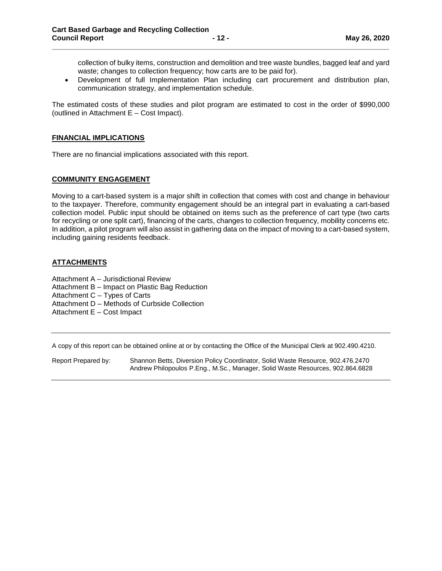collection of bulky items, construction and demolition and tree waste bundles, bagged leaf and yard waste; changes to collection frequency; how carts are to be paid for).

• Development of full Implementation Plan including cart procurement and distribution plan, communication strategy, and implementation schedule.

The estimated costs of these studies and pilot program are estimated to cost in the order of \$990,000 (outlined in Attachment E – Cost Impact).

**\_\_\_\_\_\_\_\_\_\_\_\_\_\_\_\_\_\_\_\_\_\_\_\_\_\_\_\_\_\_\_\_\_\_\_\_\_\_\_\_\_\_\_\_\_\_\_\_\_\_\_\_\_\_\_\_\_\_\_\_\_\_\_\_\_\_\_\_\_\_\_\_\_\_\_\_\_\_\_\_\_\_\_\_**

#### **FINANCIAL IMPLICATIONS**

There are no financial implications associated with this report.

#### **COMMUNITY ENGAGEMENT**

Moving to a cart-based system is a major shift in collection that comes with cost and change in behaviour to the taxpayer. Therefore, community engagement should be an integral part in evaluating a cart-based collection model. Public input should be obtained on items such as the preference of cart type (two carts for recycling or one split cart), financing of the carts, changes to collection frequency, mobility concerns etc. In addition, a pilot program will also assist in gathering data on the impact of moving to a cart-based system, including gaining residents feedback.

#### **ATTACHMENTS**

Attachment A – Jurisdictional Review

Attachment B – Impact on Plastic Bag Reduction

Attachment C – Types of Carts

Attachment D – Methods of Curbside Collection

Attachment E – Cost Impact

A copy of this report can be obtained online at or by contacting the Office of the Municipal Clerk at 902.490.4210.

Report Prepared by: Shannon Betts, Diversion Policy Coordinator, Solid Waste Resource, 902.476.2470 Andrew Philopoulos P.Eng., M.Sc., Manager, Solid Waste Resources, 902.864.6828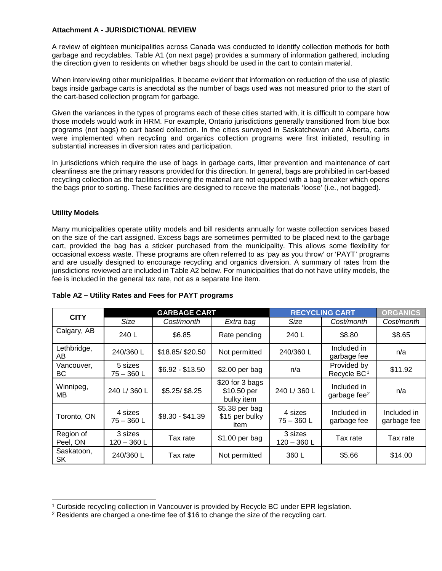## **Attachment A - JURISDICTIONAL REVIEW**

A review of eighteen municipalities across Canada was conducted to identify collection methods for both garbage and recyclables. Table A1 (on next page) provides a summary of information gathered, including the direction given to residents on whether bags should be used in the cart to contain material.

When interviewing other municipalities, it became evident that information on reduction of the use of plastic bags inside garbage carts is anecdotal as the number of bags used was not measured prior to the start of the cart-based collection program for garbage.

Given the variances in the types of programs each of these cities started with, it is difficult to compare how those models would work in HRM. For example, Ontario jurisdictions generally transitioned from blue box programs (not bags) to cart based collection. In the cities surveyed in Saskatchewan and Alberta, carts were implemented when recycling and organics collection programs were first initiated, resulting in substantial increases in diversion rates and participation.

In jurisdictions which require the use of bags in garbage carts, litter prevention and maintenance of cart cleanliness are the primary reasons provided for this direction. In general, bags are prohibited in cart-based recycling collection as the facilities receiving the material are not equipped with a bag breaker which opens the bags prior to sorting. These facilities are designed to receive the materials 'loose' (i.e., not bagged).

## **Utility Models**

Many municipalities operate utility models and bill residents annually for waste collection services based on the size of the cart assigned. Excess bags are sometimes permitted to be placed next to the garbage cart, provided the bag has a sticker purchased from the municipality. This allows some flexibility for occasional excess waste. These programs are often referred to as 'pay as you throw' or 'PAYT' programs and are usually designed to encourage recycling and organics diversion. A summary of rates from the jurisdictions reviewed are included in Table A2 below. For municipalities that do not have utility models, the fee is included in the general tax rate, not as a separate line item.

| <b>CITY</b>             | <b>GARBAGE CART</b>      |                  |                                              | <b>RECYCLING CART</b>    | <b>ORGANICS</b>                        |                            |
|-------------------------|--------------------------|------------------|----------------------------------------------|--------------------------|----------------------------------------|----------------------------|
|                         | Size                     | Cost/month       | Extra bag                                    | Size                     | Cost/month                             | Cost/month                 |
| Calgary, AB             | 240L                     | \$6.85           | Rate pending                                 | 240 L                    | \$8.80                                 | \$8.65                     |
| Lethbridge,<br>AB       | 240/360 L                | \$18.85/\$20.50  | Not permitted                                | 240/360 L                | Included in<br>garbage fee             | n/a                        |
| Vancouver,<br>ВC        | 5 sizes<br>$75 - 360 L$  | $$6.92 - $13.50$ | \$2.00 per bag                               | n/a                      | Provided by<br>Recycle BC <sup>1</sup> | \$11.92                    |
| Winnipeg,<br>MВ         | 240 L/360 L              | \$5.25/\$8.25    | \$20 for 3 bags<br>\$10.50 per<br>bulky item | 240 L/360 L              | Included in<br>garbage fee $2$         | n/a                        |
| Toronto, ON             | 4 sizes<br>$75 - 360 L$  | $$8.30 - $41.39$ | \$5.38 per bag<br>\$15 per bulky<br>item     | 4 sizes<br>$75 - 360 L$  | Included in<br>garbage fee             | Included in<br>garbage fee |
| Region of<br>Peel, ON   | 3 sizes<br>$120 - 360$ L | Tax rate         | \$1.00 per bag                               | 3 sizes<br>$120 - 360$ L | Tax rate                               | Tax rate                   |
| Saskatoon,<br><b>SK</b> | 240/360 L                | Tax rate         | Not permitted                                | 360L                     | \$5.66                                 | \$14.00                    |

#### **Table A2 – Utility Rates and Fees for PAYT programs**

<span id="page-12-0"></span><sup>&</sup>lt;sup>1</sup> Curbside recycling collection in Vancouver is provided by Recycle BC under EPR legislation. <sup>2</sup> Residents are charged a one-time fee of \$16 to change the size of the recycling cart.

<span id="page-12-1"></span>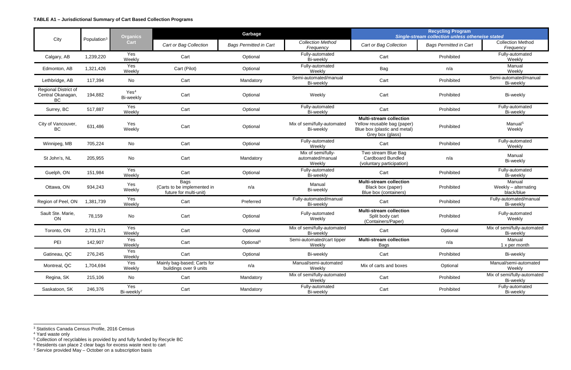<span id="page-13-4"></span><span id="page-13-3"></span><span id="page-13-2"></span><span id="page-13-1"></span><span id="page-13-0"></span>

|                                                 |                         | <b>Organics</b>               | Garbage                                                              |                               |                                                  | <b>Recycling Program</b><br>Single-stream collection unless otherwise stated                                      |                               |                                              |
|-------------------------------------------------|-------------------------|-------------------------------|----------------------------------------------------------------------|-------------------------------|--------------------------------------------------|-------------------------------------------------------------------------------------------------------------------|-------------------------------|----------------------------------------------|
| City                                            | Population <sup>3</sup> | <b>Cart</b>                   | Cart or Bag Collection                                               | <b>Bags Permitted in Cart</b> | <b>Collection Method</b><br>Frequency            | Cart or Bag Collection                                                                                            | <b>Bags Permitted in Cart</b> | <b>Collection Method</b><br>Frequency        |
| Calgary, AB                                     | 1,239,220               | Yes<br>Weekly                 | Cart                                                                 | Optional                      | Fully-automated<br>Bi-weekly                     | Cart                                                                                                              | Prohibited                    | Fully-automated<br>Weekly                    |
| Edmonton, AB                                    | 1,321,426               | Yes<br>Weekly                 | Cart (Pilot)                                                         | Optional                      | Fully-automated<br>Weekly                        | Bag                                                                                                               | n/a                           | Manual<br>Weekly                             |
| Lethbridge, AB                                  | 117,394                 | No                            | Cart                                                                 | Mandatory                     | Semi-automated/manual<br>Bi-weekly               | Cart                                                                                                              | Prohibited                    | Semi-automated/manual<br>Bi-weekly           |
| Regional District of<br>Central Okanagan,<br>BC | 194,882                 | Yes <sup>4</sup><br>Bi-weekly | Cart                                                                 | Optional                      | Weekly                                           | Cart                                                                                                              | Prohibited                    | Bi-weekly                                    |
| Surrey, BC                                      | 517,887                 | Yes<br>Weekly                 | Cart                                                                 | Optional                      | Fully-automated<br>Bi-weekly                     | Cart                                                                                                              | Prohibited                    | Fully-automated<br>Bi-weekly                 |
| City of Vancouver,<br>BC                        | 631,486                 | Yes<br>Weekly                 | Cart                                                                 | Optional                      | Mix of semi/fully-automated<br>Bi-weekly         | <b>Multi-stream collection</b><br>Yellow reusable bag (paper)<br>Blue box (plastic and metal)<br>Grey box (glass) | Prohibited                    | Manual <sup>5</sup><br>Weekly                |
| Winnipeg, MB                                    | 705,224                 | No                            | Cart                                                                 | Optional                      | Fully-automated<br>Weekly                        | Cart                                                                                                              | Prohibited                    | Fully-automated<br>Weekly                    |
| St John's, NL                                   | 205,955                 | No                            | Cart                                                                 | Mandatory                     | Mix of semi/fully-<br>automated/manual<br>Weekly | Two stream Blue Bag<br><b>Cardboard Bundled</b><br>(voluntary participation)                                      | n/a                           | Manual<br>Bi-weekly                          |
| Guelph, ON                                      | 151,984                 | Yes<br>Weekly                 | Cart                                                                 | Optional                      | Fully-automated<br>Bi-weekly                     | Cart                                                                                                              | Prohibited                    | Fully-automated<br>Bi-weekly                 |
| Ottawa, ON                                      | 934,243                 | Yes<br>Weekly                 | <b>Bags</b><br>(Carts to be implemented in<br>future for multi-unit) | n/a                           | Manual<br>Bi-weekly                              | <b>Multi-stream collection</b><br>Black box (paper)<br>Blue box (containers)                                      | Prohibited                    | Manual<br>Weekly - alternating<br>black/blue |
| Region of Peel, ON                              | 1,381,739               | Yes<br>Weekly                 | Cart                                                                 | Preferred                     | Fully-automated/manual<br>Bi-weekly              | Cart                                                                                                              | Prohibited                    | Fully-automated/manual<br>Bi-weekly          |
| Sault Ste. Marie,<br>ON                         | 78,159                  | No                            | Cart                                                                 | Optional                      | Fully-automated<br>Weekly                        | <b>Multi-stream collection</b><br>Split body cart<br>(Containers/Paper)                                           | Prohibited                    | Fully-automated<br>Weekly                    |
| Toronto, ON                                     | 2,731,571               | Yes<br>Weekly                 | Cart                                                                 | Optional                      | Mix of semi/fully-automated<br>Bi-weekly         | Cart                                                                                                              | Optional                      | Mix of semi/fully-automated<br>Bi-weekly     |
| PEI                                             | 142,907                 | Yes<br>Weekly                 | Cart                                                                 | Optional <sup>6</sup>         | Semi-automated/cart tipper<br>Weekly             | <b>Multi-stream collection</b><br>Bags                                                                            | n/a                           | Manual<br>1 x per month                      |
| Gatineau, QC                                    | 276,245                 | Yes<br>Weekly                 | Cart                                                                 | Optional                      | Bi-weekly                                        | Cart                                                                                                              | Prohibited                    | Bi-weekly                                    |
| Montreal, QC                                    | 1,704,694               | Yes<br>Weekly                 | Mainly bag-based; Carts for<br>buildings over 9 units                | n/a                           | Manual/semi-automated<br>Weekly                  | Mix of carts and boxes                                                                                            | Optional                      | Manual/semi-automated<br>Weekly              |
| Regina, SK                                      | 215,106                 | No                            | Cart                                                                 | Mandatory                     | Mix of semi/fully-automated<br>Weekly            | Cart                                                                                                              | Prohibited                    | Mix of semi/fully-automated<br>Bi-weekly     |
| Saskatoon, SK                                   | 246,376                 | Yes<br>Bi-weekly <sup>7</sup> | Cart                                                                 | Mandatory                     | Fully-automated<br>Bi-weekly                     | Cart                                                                                                              | Prohibited                    | Fully-automated<br>Bi-weekly                 |

<sup>3</sup> Statistics Canada Census Profile, 2016 Census

<sup>4</sup> Yard waste only

<sup>5</sup> Collection of recyclables is provided by and fully funded by Recycle BC

 $6$  Residents can place 2 clear bags for excess waste next to cart

<sup>7</sup> Service provided May – October on a subscription basis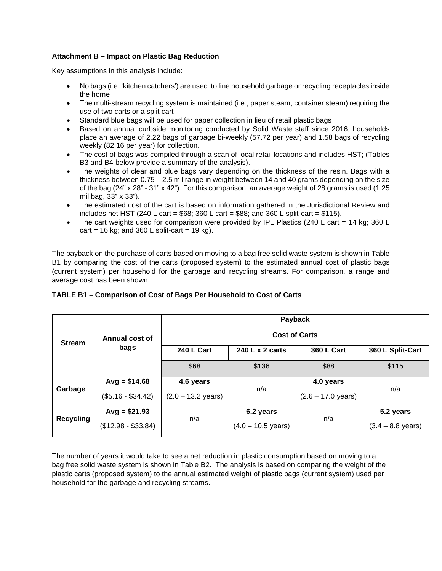# **Attachment B – Impact on Plastic Bag Reduction**

Key assumptions in this analysis include:

- No bags (i.e. 'kitchen catchers') are used to line household garbage or recycling receptacles inside the home
- The multi-stream recycling system is maintained (i.e., paper steam, container steam) requiring the use of two carts or a split cart
- Standard blue bags will be used for paper collection in lieu of retail plastic bags<br>• Based on annual curbside monitoring conducted by Solid Waste staff since 2
- Based on annual curbside monitoring conducted by Solid Waste staff since 2016, households place an average of 2.22 bags of garbage bi-weekly (57.72 per year) and 1.58 bags of recycling weekly (82.16 per year) for collection.
- The cost of bags was compiled through a scan of local retail locations and includes HST; (Tables B3 and B4 below provide a summary of the analysis).
- The weights of clear and blue bags vary depending on the thickness of the resin. Bags with a thickness between 0.75 – 2.5 mil range in weight between 14 and 40 grams depending on the size of the bag (24" x 28" - 31" x 42"). For this comparison, an average weight of 28 grams is used (1.25 mil bag, 33" x 33").
- The estimated cost of the cart is based on information gathered in the Jurisdictional Review and includes net HST (240 L cart = \$68; 360 L cart = \$88; and 360 L split-cart = \$115).
- The cart weights used for comparison were provided by IPL Plastics (240 L cart = 14 kg; 360 L cart = 16 kg; and 360 L split-cart = 19 kg).

The payback on the purchase of carts based on moving to a bag free solid waste system is shown in Table B1 by comparing the cost of the carts (proposed system) to the estimated annual cost of plastic bags (current system) per household for the garbage and recycling streams. For comparison, a range and average cost has been shown.

|                  |                     |                              |                              | Payback                      |                             |  |  |  |  |
|------------------|---------------------|------------------------------|------------------------------|------------------------------|-----------------------------|--|--|--|--|
| <b>Stream</b>    | Annual cost of      | <b>Cost of Carts</b>         |                              |                              |                             |  |  |  |  |
|                  | bags                | 240 L Cart                   | 240 L x 2 carts              | <b>360 L Cart</b>            | 360 L Split-Cart            |  |  |  |  |
|                  |                     | \$68                         | \$136                        | \$88                         | \$115                       |  |  |  |  |
|                  | $Avg = $14.68$      | 4.6 years                    |                              | 4.0 years                    |                             |  |  |  |  |
| Garbage          | $($5.16 - $34.42)$  | $(2.0 - 13.2 \text{ years})$ | n/a                          | $(2.6 - 17.0 \text{ years})$ | n/a                         |  |  |  |  |
|                  | $Avg = $21.93$      |                              | 6.2 years                    |                              | 5.2 years                   |  |  |  |  |
| <b>Recycling</b> | $($12.98 - $33.84)$ | n/a                          | $(4.0 - 10.5 \text{ years})$ | n/a                          | $(3.4 - 8.8 \text{ years})$ |  |  |  |  |

## **TABLE B1 – Comparison of Cost of Bags Per Household to Cost of Carts**

The number of years it would take to see a net reduction in plastic consumption based on moving to a bag free solid waste system is shown in Table B2. The analysis is based on comparing the weight of the plastic carts (proposed system) to the annual estimated weight of plastic bags (current system) used per household for the garbage and recycling streams.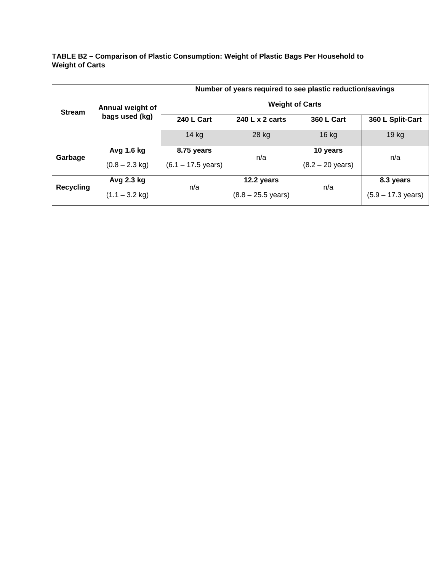**TABLE B2 – Comparison of Plastic Consumption: Weight of Plastic Bags Per Household to Weight of Carts**

|                  |                  | Number of years required to see plastic reduction/savings<br><b>Weight of Carts</b> |                              |                            |                              |  |  |
|------------------|------------------|-------------------------------------------------------------------------------------|------------------------------|----------------------------|------------------------------|--|--|
| <b>Stream</b>    | Annual weight of |                                                                                     |                              |                            |                              |  |  |
|                  | bags used (kg)   | 240 L Cart                                                                          | 240 L x 2 carts              | <b>360 L Cart</b>          | 360 L Split-Cart             |  |  |
|                  |                  | $14$ kg                                                                             | 28 kg                        | 16 kg                      | 19 <sub>kg</sub>             |  |  |
| Garbage          | Avg 1.6 kg       | 8.75 years                                                                          | n/a                          | 10 years                   | n/a                          |  |  |
|                  | $(0.8 - 2.3$ kg) | $(6.1 - 17.5 \text{ years})$                                                        |                              | $(8.2 - 20 \text{ years})$ |                              |  |  |
|                  | Avg 2.3 kg       | n/a                                                                                 | 12.2 years                   | n/a                        | 8.3 years                    |  |  |
| <b>Recycling</b> | $(1.1 - 3.2$ kg) |                                                                                     | $(8.8 - 25.5 \text{ years})$ |                            | $(5.9 - 17.3 \text{ years})$ |  |  |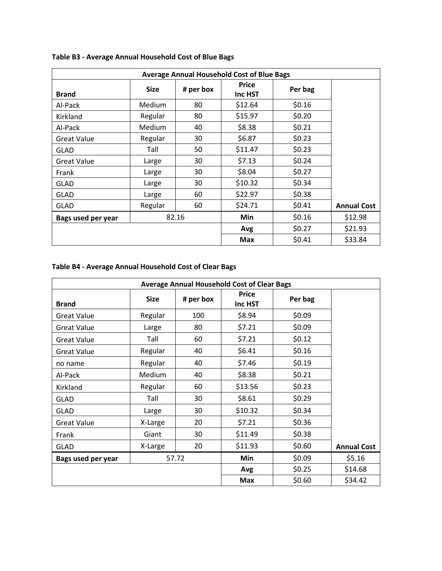| <b>Average Annual Household Cost of Blue Bags</b> |             |           |                         |         |                    |
|---------------------------------------------------|-------------|-----------|-------------------------|---------|--------------------|
| <b>Brand</b>                                      | <b>Size</b> | # per box | <b>Price</b><br>Inc HST | Per bag |                    |
| Al-Pack                                           | Medium      | 80        | \$12.64                 | \$0.16  |                    |
| Kirkland                                          | Regular     | 80        | \$15.97                 | \$0.20  |                    |
| Al-Pack                                           | Medium      | 40        | \$8.38                  | \$0.21  |                    |
| <b>Great Value</b>                                | Regular     | 30        | \$6.87                  | \$0.23  |                    |
| <b>GLAD</b>                                       | Tall        | 50        | \$11.47                 | \$0.23  |                    |
| <b>Great Value</b>                                | Large       | 30        | \$7.13                  | \$0.24  |                    |
| Frank                                             | Large       | 30        | \$8.04                  | \$0.27  |                    |
| <b>GLAD</b>                                       | Large       | 30        | \$10.32                 | \$0.34  |                    |
| <b>GLAD</b>                                       | Large       | 60        | \$22.97                 | \$0.38  |                    |
| <b>GLAD</b>                                       | Regular     | 60        | \$24.71                 | \$0.41  | <b>Annual Cost</b> |
| Bags used per year                                |             | 82.16     | Min                     | \$0.16  | \$12.98            |
|                                                   |             |           | Avg                     | \$0.27  | \$21.93            |
|                                                   |             |           | <b>Max</b>              | \$0.41  | \$33.84            |

# **Table B3 - Average Annual Household Cost of Blue Bags**

# **Table B4 - Average Annual Household Cost of Clear Bags**

| <b>Average Annual Household Cost of Clear Bags</b> |             |           |                         |         |                    |
|----------------------------------------------------|-------------|-----------|-------------------------|---------|--------------------|
| <b>Brand</b>                                       | <b>Size</b> | # per box | <b>Price</b><br>Inc HST | Per bag |                    |
| <b>Great Value</b>                                 | Regular     | 100       | \$8.94                  | \$0.09  |                    |
| <b>Great Value</b>                                 | Large       | 80        | \$7.21                  | \$0.09  |                    |
| <b>Great Value</b>                                 | Tall        | 60        | \$7.21                  | \$0.12  |                    |
| <b>Great Value</b>                                 | Regular     | 40        | \$6.41                  | \$0.16  |                    |
| no name                                            | Regular     | 40        | \$7.46                  | \$0.19  |                    |
| Al-Pack                                            | Medium      | 40        | \$8.38                  | \$0.21  |                    |
| Kirkland                                           | Regular     | 60        | \$13.56                 | \$0.23  |                    |
| <b>GLAD</b>                                        | Tall        | 30        | \$8.61                  | \$0.29  |                    |
| <b>GLAD</b>                                        | Large       | 30        | \$10.32                 | \$0.34  |                    |
| <b>Great Value</b>                                 | X-Large     | 20        | \$7.21                  | \$0.36  |                    |
| Frank                                              | Giant       | 30        | \$11.49                 | \$0.38  |                    |
| <b>GLAD</b>                                        | X-Large     | 20        | \$11.93                 | \$0.60  | <b>Annual Cost</b> |
| Bags used per year                                 |             | 57.72     | Min                     | \$0.09  | \$5.16             |
|                                                    |             |           | Avg                     | \$0.25  | \$14.68            |
|                                                    |             |           | <b>Max</b>              | \$0.60  | \$34.42            |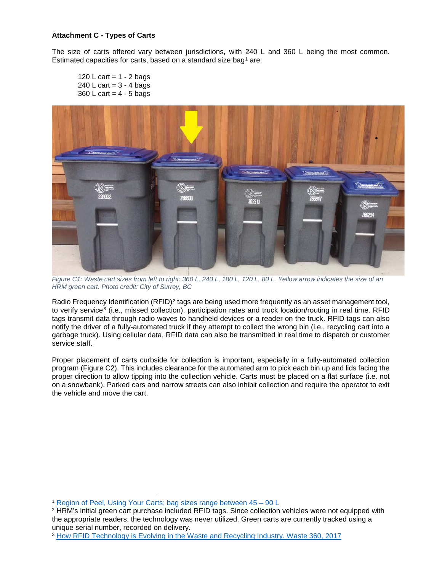## **Attachment C - Types of Carts**

The size of carts offered vary between jurisdictions, with 240 L and 360 L being the most common. Estimated capacities for carts, based on a standard size bag<sup>[1](#page-17-0)</sup> are:

120 L cart =  $1 - 2$  bags 240 L cart =  $3 - 4$  bags  $360$  L cart =  $4 - 5$  bags



*Figure C1: Waste cart sizes from left to right: 360 L, 240 L, 180 L, 120 L, 80 L. Yellow arrow indicates the size of an HRM green cart. Photo credit: City of Surrey, BC*

Radio Frequency Identification  $(RFID)^2$  $(RFID)^2$  tags are being used more frequently as an asset management tool, to verify service<sup>[3](#page-17-2)</sup> (i.e., missed collection), participation rates and truck location/routing in real time. RFID tags transmit data through radio waves to handheld devices or a reader on the truck. RFID tags can also notify the driver of a fully-automated truck if they attempt to collect the wrong bin (i.e., recycling cart into a garbage truck). Using cellular data, RFID data can also be transmitted in real time to dispatch or customer service staff.

Proper placement of carts curbside for collection is important, especially in a fully-automated collection program (Figure C2). This includes clearance for the automated arm to pick each bin up and lids facing the proper direction to allow tipping into the collection vehicle. Carts must be placed on a flat surface (i.e. not on a snowbank). Parked cars and narrow streets can also inhibit collection and require the operator to exit the vehicle and move the cart.

<span id="page-17-0"></span><sup>1</sup> [Region of Peel, Using Your Carts;](http://www.peelregion.ca/waste/carts/) bag sizes range between 45 – 90 L

<span id="page-17-1"></span><sup>2</sup> HRM's initial green cart purchase included RFID tags. Since collection vehicles were not equipped with the appropriate readers, the technology was never utilized. Green carts are currently tracked using a unique serial number, recorded on delivery.<br><sup>3</sup> [How RFID Technology is Evolving in the Waste and Recycling Industry. Waste 360, 2017](https://www.waste360.com/fleets-technology/how-rfid-technology-evolving-waste-and-recycling-industry)

<span id="page-17-2"></span>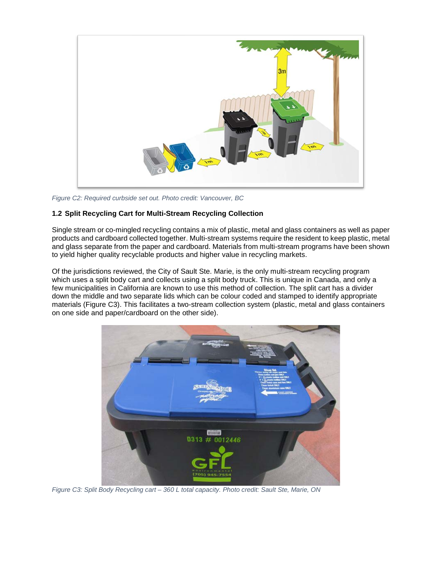

*Figure C2: Required curbside set out. Photo credit: Vancouver, BC*

## **1.2 Split Recycling Cart for Multi-Stream Recycling Collection**

Single stream or co-mingled recycling contains a mix of plastic, metal and glass containers as well as paper products and cardboard collected together. Multi-stream systems require the resident to keep plastic, metal and glass separate from the paper and cardboard. Materials from multi-stream programs have been shown to yield higher quality recyclable products and higher value in recycling markets.

Of the jurisdictions reviewed, the City of Sault Ste. Marie, is the only multi-stream recycling program which uses a split body cart and collects using a split body truck. This is unique in Canada, and only a few municipalities in California are known to use this method of collection. The split cart has a divider down the middle and two separate lids which can be colour coded and stamped to identify appropriate materials (Figure C3). This facilitates a two-stream collection system (plastic, metal and glass containers on one side and paper/cardboard on the other side).



*Figure C3: Split Body Recycling cart – 360 L total capacity. Photo credit: Sault Ste, Marie, ON*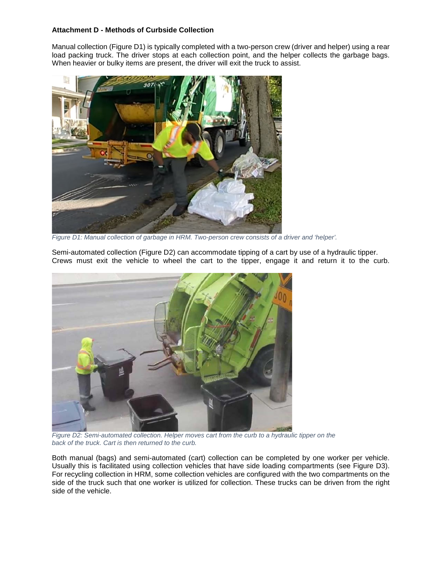## **Attachment D - Methods of Curbside Collection**

Manual collection (Figure D1) is typically completed with a two-person crew (driver and helper) using a rear load packing truck. The driver stops at each collection point, and the helper collects the garbage bags. When heavier or bulky items are present, the driver will exit the truck to assist.



*Figure D1: Manual collection of garbage in HRM. Two-person crew consists of a driver and 'helper'.*

Semi-automated collection (Figure D2) can accommodate tipping of a cart by use of a hydraulic tipper. Crews must exit the vehicle to wheel the cart to the tipper, engage it and return it to the curb.



*Figure D2: Semi-automated collection. Helper moves cart from the curb to a hydraulic tipper on the back of the truck. Cart is then returned to the curb.*

Both manual (bags) and semi-automated (cart) collection can be completed by one worker per vehicle. Usually this is facilitated using collection vehicles that have side loading compartments (see Figure D3). For recycling collection in HRM, some collection vehicles are configured with the two compartments on the side of the truck such that one worker is utilized for collection. These trucks can be driven from the right side of the vehicle.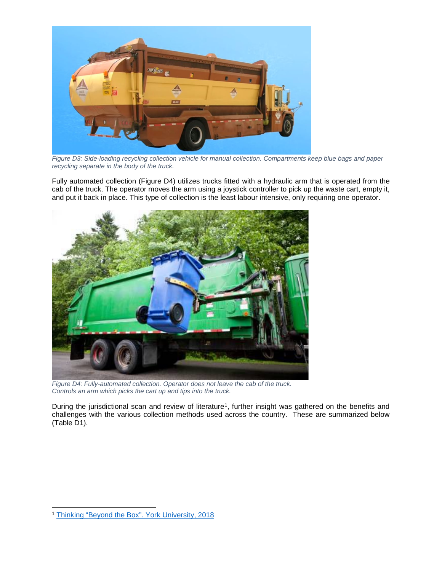

*Figure D3: Side-loading recycling collection vehicle for manual collection. Compartments keep blue bags and paper recycling separate in the body of the truck.* 

Fully automated collection (Figure D4) utilizes trucks fitted with a hydraulic arm that is operated from the cab of the truck. The operator moves the arm using a joystick controller to pick up the waste cart, empty it, and put it back in place. This type of collection is the least labour intensive, only requiring one operator.



*Figure D4: Fully-automated collection. Operator does not leave the cab of the truck. Controls an arm which picks the cart up and tips into the truck.*

During the jurisdictional scan and review of literature<sup>[1](#page-20-0)</sup>, further insight was gathered on the benefits and challenges with the various collection methods used across the country. These are summarized below (Table D1).

<span id="page-20-0"></span><sup>1</sup> [Thinking "Beyond the Box". York University, 2018](https://resource-recycling.com/recycling/wp-content/uploads/sites/3/2018/06/York-University-Beyond-the-Box-Study-final-1.pdf)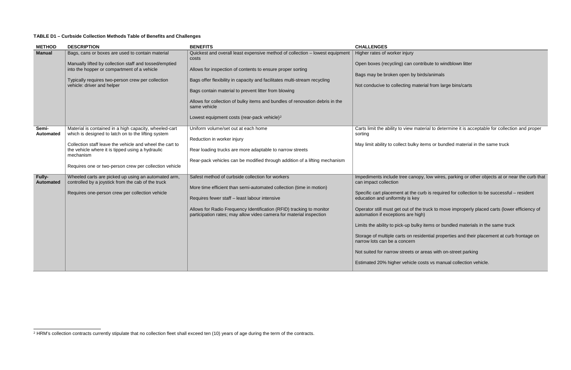## **TABLE D1 – Curbside Collection Methods Table of Benefits and Challenges**

| <b>METHOD</b>              | <b>DESCRIPTION</b>                                                                                                                                                                                                                                                                                   | <b>BENEFITS</b>                                                                                                                                                                                                                                                                                                                                                                                                                                     | <b>CHALLENGES</b>                                                                                                                                                                                                                                                                                                                                                                                              |
|----------------------------|------------------------------------------------------------------------------------------------------------------------------------------------------------------------------------------------------------------------------------------------------------------------------------------------------|-----------------------------------------------------------------------------------------------------------------------------------------------------------------------------------------------------------------------------------------------------------------------------------------------------------------------------------------------------------------------------------------------------------------------------------------------------|----------------------------------------------------------------------------------------------------------------------------------------------------------------------------------------------------------------------------------------------------------------------------------------------------------------------------------------------------------------------------------------------------------------|
| <b>Manual</b>              | Bags, cans or boxes are used to contain material<br>Manually lifted by collection staff and tossed/emptied<br>into the hopper or compartment of a vehicle<br>Typically requires two-person crew per collection<br>vehicle: driver and helper                                                         | Quickest and overall least expensive method of collection - lowest equipment<br>costs<br>Allows for inspection of contents to ensure proper sorting<br>Bags offer flexibility in capacity and facilitates multi-stream recycling<br>Bags contain material to prevent litter from blowing<br>Allows for collection of bulky items and bundles of renovation debris in the<br>same vehicle<br>Lowest equipment costs (rear-pack vehicle) <sup>2</sup> | Higher rates of worker injury<br>Open boxes (recycling) can contri<br>Bags may be broken open by bird<br>Not conducive to collecting materi                                                                                                                                                                                                                                                                    |
| Semi-<br><b>Automated</b>  | Material is contained in a high capacity, wheeled-cart<br>which is designed to latch on to the lifting system<br>Collection staff leave the vehicle and wheel the cart to<br>the vehicle where it is tipped using a hydraulic<br>mechanism<br>Requires one or two-person crew per collection vehicle | Uniform volume/set out at each home<br>Reduction in worker injury<br>Rear loading trucks are more adaptable to narrow streets<br>Rear-pack vehicles can be modified through addition of a lifting mechanism                                                                                                                                                                                                                                         | Carts limit the ability to view mate<br>sorting<br>May limit ability to collect bulky ite                                                                                                                                                                                                                                                                                                                      |
| Fully-<br><b>Automated</b> | Wheeled carts are picked up using an automated arm,<br>controlled by a joystick from the cab of the truck<br>Requires one-person crew per collection vehicle                                                                                                                                         | Safest method of curbside collection for workers<br>More time efficient than semi-automated collection (time in motion)<br>Requires fewer staff - least labour intensive<br>Allows for Radio Frequency Identification (RFID) tracking to monitor<br>participation rates; may allow video camera for material inspection                                                                                                                             | Impediments include tree canopy,<br>can impact collection<br>Specific cart placement at the curl<br>education and uniformity is key<br>Operator still must get out of the ti<br>automation if exceptions are high)<br>Limits the ability to pick-up bulky it<br>Storage of multiple carts on reside<br>narrow lots can be a concern<br>Not suited for narrow streets or ar<br>Estimated 20% higher vehicle cos |

<span id="page-21-0"></span>ntribute to windblown litter

birds/animals

terial from large bins/carts

aterial to determine it is acceptable for collection and proper

 $\nu$  items or bundled material in the same truck

Impy, low wires, parking or other objects at or near the curb that

curb is required for collection to be successful – resident

Operator still must get out of the truck to move improperly placed carts (lower efficiency of

ky items or bundled materials in the same truck

sidential properties and their placement at curb frontage on

r areas with on-street parking

costs vs manual collection vehicle.

<sup>&</sup>lt;sup>2</sup> HRM's collection contracts currently stipulate that no collection fleet shall exceed ten (10) years of age during the term of the contracts.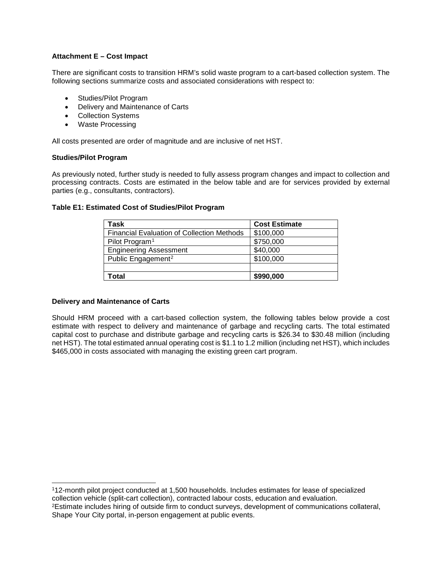## **Attachment E – Cost Impact**

There are significant costs to transition HRM's solid waste program to a cart-based collection system. The following sections summarize costs and associated considerations with respect to:

- Studies/Pilot Program
- Delivery and Maintenance of Carts
- Collection Systems
- Waste Processing

All costs presented are order of magnitude and are inclusive of net HST.

#### **Studies/Pilot Program**

As previously noted, further study is needed to fully assess program changes and impact to collection and processing contracts. Costs are estimated in the below table and are for services provided by external parties (e.g., consultants, contractors).

#### **Table E1: Estimated Cost of Studies/Pilot Program**

| Task                                              | <b>Cost Estimate</b> |
|---------------------------------------------------|----------------------|
| <b>Financial Evaluation of Collection Methods</b> | \$100,000            |
| Pilot Program <sup>1</sup>                        | \$750,000            |
| <b>Engineering Assessment</b>                     | \$40,000             |
| Public Engagement <sup>2</sup>                    | \$100,000            |
|                                                   |                      |
| Гоtal                                             | \$990,000            |

### **Delivery and Maintenance of Carts**

Should HRM proceed with a cart-based collection system, the following tables below provide a cost estimate with respect to delivery and maintenance of garbage and recycling carts. The total estimated capital cost to purchase and distribute garbage and recycling carts is \$26.34 to \$30.48 million (including net HST). The total estimated annual operating cost is \$1.1 to 1.2 million (including net HST), which includes \$465,000 in costs associated with managing the existing green cart program.

<span id="page-22-1"></span><span id="page-22-0"></span> 112-month pilot project conducted at 1,500 households. Includes estimates for lease of specialized collection vehicle (split-cart collection), contracted labour costs, education and evaluation. 2Estimate includes hiring of outside firm to conduct surveys, development of communications collateral, Shape Your City portal, in-person engagement at public events.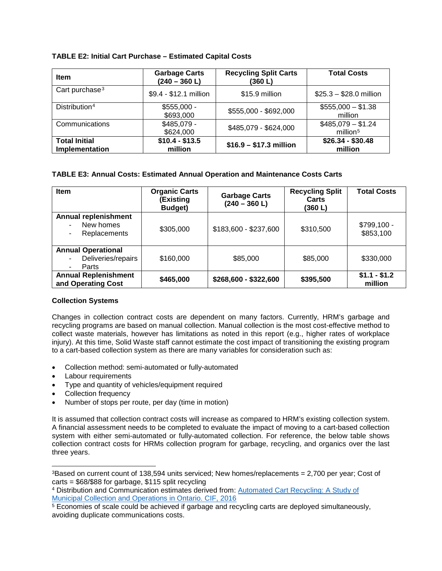## **TABLE E2: Initial Cart Purchase – Estimated Capital Costs**

| <b>Item</b>                            | <b>Garbage Carts</b><br>$(240 - 360 L)$ | <b>Recycling Split Carts</b><br>(360 L) | <b>Total Costs</b>                         |
|----------------------------------------|-----------------------------------------|-----------------------------------------|--------------------------------------------|
| Cart purchase <sup>3</sup>             | \$9.4 - \$12.1 million                  | \$15.9 million                          | $$25.3 - $28.0$ million                    |
| Distribution <sup>4</sup>              | $$555,000 -$<br>\$693,000               | \$555,000 - \$692,000                   | $$555,000 - $1.38$<br>million              |
| Communications                         | $$485,079 -$<br>\$624,000               | \$485,079 - \$624,000                   | $$485,079 - $1.24$<br>million <sup>5</sup> |
| <b>Total Initial</b><br>Implementation | $$10.4 - $13.5$<br>million              | $$16.9 - $17.3$ million                 | $$26.34 - $30.48$<br>million               |

## **TABLE E3: Annual Costs: Estimated Annual Operation and Maintenance Costs Carts**

| <b>Item</b>                                              | <b>Organic Carts</b><br>(Existing<br>Budget) | <b>Garbage Carts</b><br>$(240 - 360 L)$ | <b>Recycling Split</b><br>Carts<br>(360L) | <b>Total Costs</b>        |
|----------------------------------------------------------|----------------------------------------------|-----------------------------------------|-------------------------------------------|---------------------------|
| <b>Annual replenishment</b><br>New homes<br>Replacements | \$305,000                                    | \$183,600 - \$237,600                   | \$310,500                                 | $$799,100 -$<br>\$853,100 |
| <b>Annual Operational</b><br>Deliveries/repairs<br>Parts | \$160,000                                    | \$85,000                                | \$85,000                                  | \$330,000                 |
| <b>Annual Replenishment</b><br>and Operating Cost        | \$465,000                                    | \$268,600 - \$322,600                   | \$395,500                                 | $$1.1 - $1.2$<br>million  |

## **Collection Systems**

Changes in collection contract costs are dependent on many factors. Currently, HRM's garbage and recycling programs are based on manual collection. Manual collection is the most cost-effective method to collect waste materials, however has limitations as noted in this report (e.g., higher rates of workplace injury). At this time, Solid Waste staff cannot estimate the cost impact of transitioning the existing program to a cart-based collection system as there are many variables for consideration such as:

- Collection method: semi-automated or fully-automated
- Labour requirements
- Type and quantity of vehicles/equipment required
- Collection frequency
- Number of stops per route, per day (time in motion)

It is assumed that collection contract costs will increase as compared to HRM's existing collection system. A financial assessment needs to be completed to evaluate the impact of moving to a cart-based collection system with either semi-automated or fully-automated collection. For reference, the below table shows collection contract costs for HRMs collection program for garbage, recycling, and organics over the last three years.

<span id="page-23-0"></span> $3B$ ased on current count of 138,594 units serviced; New homes/replacements = 2,700 per year; Cost of carts = \$68/\$88 for garbage, \$115 split recycling

<span id="page-23-1"></span><sup>4</sup> Distribution and Communication estimates derived from: [Automated Cart Recycling: A Study of](https://thecif.ca/projects/documents/888-Autocarts_Study_FINALv2_Jun2016.pdf)  [Municipal Collection and Operations in Ontario. CIF, 2016](https://thecif.ca/projects/documents/888-Autocarts_Study_FINALv2_Jun2016.pdf)

<span id="page-23-2"></span><sup>5</sup> Economies of scale could be achieved if garbage and recycling carts are deployed simultaneously, avoiding duplicate communications costs.